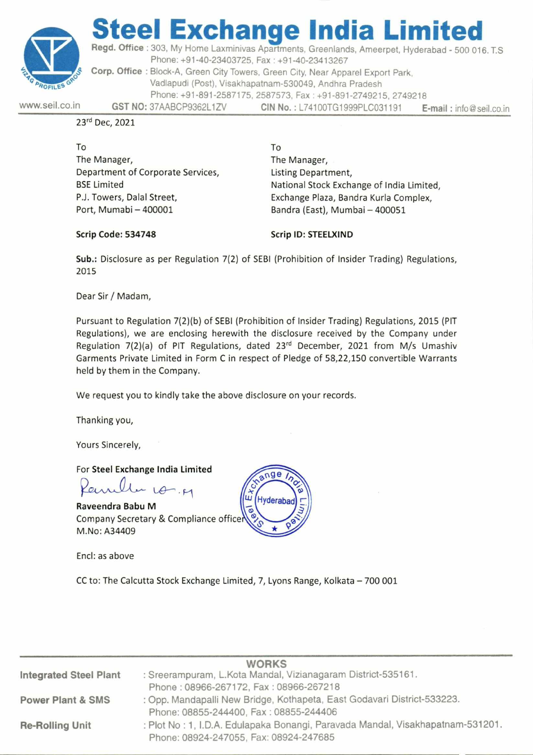

# **eel Exchange India Limi**

**Regd. Office :** 303, My Home Laxminivas Apartments, Greenlands, Ameerpet, Hyderabad - 500 016. T.S Phone: +91-40-23403725, Fax : +91-40-23413267 Corp. Office : Block-A, Green City Towers, Green City, Near Apparel Export Park, Vadlapudi (Post), Visakhapatnam-530049, Andhra Pradesh Phone: +91-891-2587175, 2587573, Fax : +91-891-2749215, 2749218 **GST NO:** 37AABCP9362L1ZV **CIN No.:** L74100TG1999PLC031191 **E-mail :** info@seil.co.in

www.seil.co.in

23rd Dec, 2021

To The Manager, Department of Corporate Services, BSE Limited P.J. Towers, Dalal Street, Port, Mumabi — 400001

To The Manager, Listing Department, National Stock Exchange of India Limited, Exchange Plaza, Bandra Kurla Complex, Bandra (East), Mumbai — 400051

Scrip Code: 534748 Scrip ID: STEELXIND

**Sub.:** Disclosure as per Regulation 7(2) of SEBI (Prohibition of Insider Trading) Regulations, 2015

Dear Sir / Madam,

Pursuant to Regulation 7(2)(b) of SEBI (Prohibition of Insider Trading) Regulations, 2015 (PIT Regulations), we are enclosing herewith the disclosure received by the Company under Regulation  $7(2)(a)$  of PIT Regulations, dated  $23^{rd}$  December, 2021 from M/s Umashiv Garments Private Limited in Form C in respect of Pledge of 58,22,150 convertible Warrants held by them in the Company.

We request you to kindly take the above disclosure on your records.

Thanking you,

Yours Sincerely,

For **Steel Exchange India Limited** 

 $4 - F$ 

**Raveendra Babu M**  Company Secretary & Compliance office M.No: A34409

Encl: as above

CC to: The Calcutta Stock Exchange Limited, 7, Lyons Range, Kolkata — 700 001

|                               | <b>WORKS</b>                                                                                                              |
|-------------------------------|---------------------------------------------------------------------------------------------------------------------------|
| <b>Integrated Steel Plant</b> | : Sreerampuram, L.Kota Mandal, Vizianagaram District-535161.                                                              |
|                               | Phone: 08966-267172, Fax: 08966-267218                                                                                    |
| <b>Power Plant &amp; SMS</b>  | : Opp. Mandapalli New Bridge, Kothapeta, East Godavari District-533223.                                                   |
|                               | Phone: 08855-244400, Fax: 08855-244406                                                                                    |
| <b>Re-Rolling Unit</b>        | : Plot No : 1, I.D.A. Edulapaka Bonangi, Paravada Mandal, Visakhapatnam-531201.<br>Phone: 08924-247055, Fax: 08924-247685 |

**Hyderat**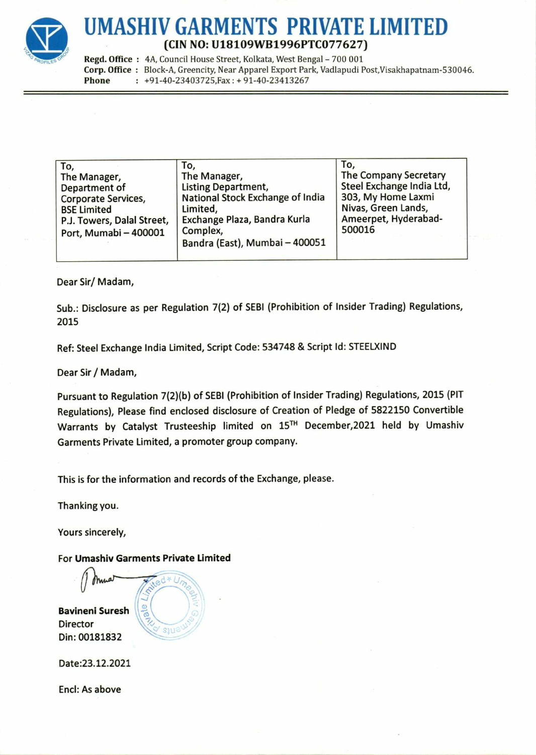

# **UMASHIV GARMENTS PRIVATE LIMITED (CIN NO: U18109WB1996PTC077627)**

Regd. Office : 4A, Council House Street, Kolkata, West Bengal - 700 001 **Corp. Office :** Block-A, Greencity, Near Apparel Export Park, Vadlapudi Post,Visakhapatnam-530046. **Phone :** +91-40-23403725,Fax : + 91-40-23413267

| The Manager,<br><b>Listing Department,</b><br>National Stock Exchange of India<br>Limited,<br>Exchange Plaza, Bandra Kurla<br>Complex, | The Company Secretary<br>Steel Exchange India Ltd,<br>303, My Home Laxmi<br>Nivas, Green Lands,<br>Ameerpet, Hyderabad-<br>500016 |
|----------------------------------------------------------------------------------------------------------------------------------------|-----------------------------------------------------------------------------------------------------------------------------------|
|                                                                                                                                        | Bandra (East), Mumbai - 400051                                                                                                    |

Dear Sir/ Madam,

Sub.: Disclosure as per Regulation 7(2) of SEBI (Prohibition of Insider Trading) Regulations, 2015

Ref: Steel Exchange India Limited, Script Code: 534748 & Script Id: STEELXIND

Dear Sir / Madam,

Pursuant to Regulation 7(2)(b) of SEBI (Prohibition of Insider Trading) Regulations, 2015 (PIT Regulations), Please find enclosed disclosure of Creation of Pledge of 5822150 Convertible Warrants by Catalyst Trusteeship limited on 15T" December,2021 held by Umashiv Garments Private Limited, a promoter group company.

This is for the information and records of the Exchange, please.

Thanking you.

Yours sincerely,

For **Umashiv Garments Private Limited** 

**Bavineni Suresh**  Director Din: 00181832

 $\sum_{n}$  $\Omega$  $\overline{\circ}$  $S111$ 

Date:23.12.2021

Encl: As above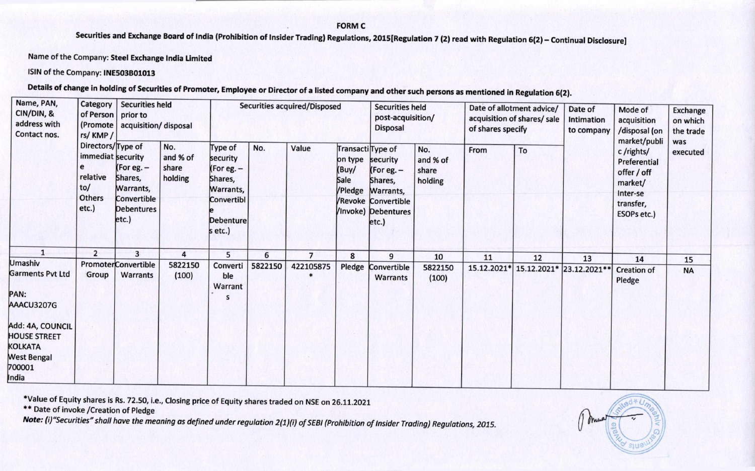### **FORM C**

**Securities and Exchange Board of India (Prohibition of Insider Trading) Regulations, 2015[Regulation 7 (2) read with Regulation 6(2) — Continual Disclosure]** 

Name of the Company: **Steel Exchange India Limited** 

**ISIN of the Company: INE503B01013** 

**Details of change in holding of Securities of Promoter, Employee or Director of a listed company and other such persons as mentioned in Regulation 6(2).** 

| Name, PAN,<br>Category<br><b>Securities held</b><br>CIN/DIN, &<br>of Person prior to<br>address with<br>(Promote acquisition/disposal<br>Contact nos.<br>rs/KMP/ |                                                           | Securities acquired/Disposed                |                                     |                                                                    |         | <b>Securities held</b><br>post-acquisition/<br><b>Disposal</b> |                                                          | Date of allotment advice/<br>acquisition of shares/ sale<br>of shares specify |                                     | Date of<br>Intimation<br>to company | Mode of<br>acquisition<br>/disposal (on | Exchange<br>on which<br>the trade |                                                                                 |                 |
|------------------------------------------------------------------------------------------------------------------------------------------------------------------|-----------------------------------------------------------|---------------------------------------------|-------------------------------------|--------------------------------------------------------------------|---------|----------------------------------------------------------------|----------------------------------------------------------|-------------------------------------------------------------------------------|-------------------------------------|-------------------------------------|-----------------------------------------|-----------------------------------|---------------------------------------------------------------------------------|-----------------|
|                                                                                                                                                                  | Directors/Type of<br>immediat security<br>relative<br>to/ | (For eg. $-$<br>Shares,<br><b>Warrants,</b> | No.<br>and % of<br>share<br>holding | <b>Type of</b><br>security<br>(For eg. $-$<br>Shares,<br>Warrants, | No.     | Value                                                          | Transacti Type of<br>on type<br>(Buy/<br>Sale<br>/Pledge | security<br>(For eg. $-$<br>Shares,<br>Warrants,                              | No.<br>and % of<br>share<br>holding | From                                | To                                      |                                   | market/publi<br>c/rights/<br>Preferential<br>offer / off<br>market/<br>Inter-se | was<br>executed |
|                                                                                                                                                                  | <b>Others</b><br>$etc.$ )                                 | Convertible<br><b>Debentures</b><br>etc.)   |                                     | Convertibl<br><b>Debenture</b><br>s etc.)                          |         |                                                                |                                                          | <b>/Revoke Convertible</b><br>/Invoke) Debentures<br>etc.)                    |                                     |                                     |                                         |                                   | transfer,<br>ESOPs etc.)                                                        |                 |
| $\mathbf{1}$                                                                                                                                                     | $\overline{2}$                                            | 3                                           | 4                                   | 5                                                                  | 6       | $\overline{7}$                                                 | 8                                                        | 9                                                                             | 10                                  | 11                                  | 12                                      | 13                                | 14                                                                              | 15              |
| Umashiv<br>Garments Pvt Ltd<br>PAN:<br>AAACU3207G                                                                                                                | Group                                                     | <b>PromoterConvertible</b><br>Warrants      | 5822150<br>(100)                    | Converti<br>ble<br>Warrant<br>S                                    | 5822150 | 422105875                                                      | Pledge                                                   | Convertible<br><b>Warrants</b>                                                | 5822150<br>(100)                    | 15.12.2021*                         |                                         | 15.12.2021* 23.12.2021**          | <b>Creation of</b><br>Pledge                                                    | <b>NA</b>       |
| Add: 4A, COUNCIL<br><b>HOUSE STREET</b><br>KOLKATA<br><b>West Bengal</b><br>700001<br>India                                                                      |                                                           |                                             |                                     |                                                                    |         |                                                                |                                                          |                                                                               |                                     |                                     |                                         |                                   |                                                                                 |                 |

\*Value of Equity shares is Rs. 72.50, i.e., Closing price of Equity shares traded on NSE on 26.11.2021

\*\* Date of invoke /Creation of Pledge

**Note:** (i)"Securities" shall have the meaning as defined under regulation 2(1)(i) of SEBI (Prohibition of Insider Trading) Regulations, 2015.